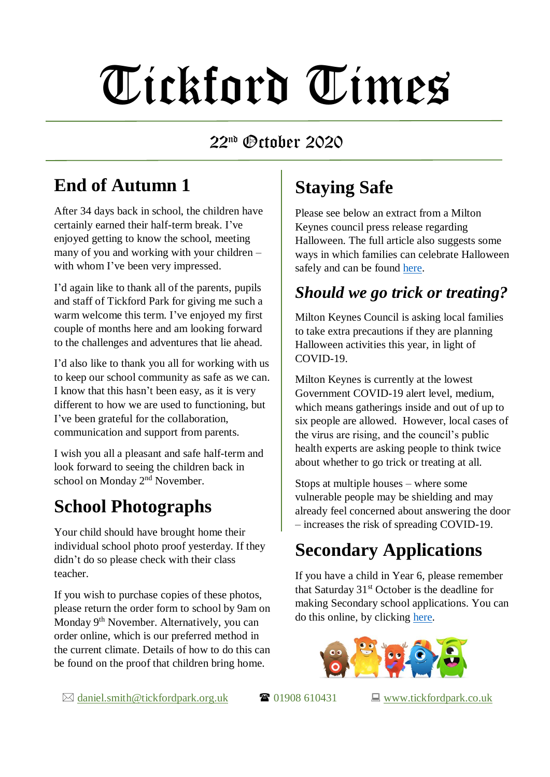# Tickford Times

#### 22 nd October 2020

#### **End of Autumn 1**

After 34 days back in school, the children have certainly earned their half-term break. I've enjoyed getting to know the school, meeting many of you and working with your children – with whom I've been very impressed.

I'd again like to thank all of the parents, pupils and staff of Tickford Park for giving me such a warm welcome this term. I've enjoyed my first couple of months here and am looking forward to the challenges and adventures that lie ahead.

I'd also like to thank you all for working with us to keep our school community as safe as we can. I know that this hasn't been easy, as it is very different to how we are used to functioning, but I've been grateful for the collaboration, communication and support from parents.

I wish you all a pleasant and safe half-term and look forward to seeing the children back in school on Monday 2<sup>nd</sup> November.

#### **School Photographs**

Your child should have brought home their individual school photo proof yesterday. If they didn't do so please check with their class teacher.

If you wish to purchase copies of these photos, please return the order form to school by 9am on Monday 9<sup>th</sup> November. Alternatively, you can order online, which is our preferred method in the current climate. Details of how to do this can be found on the proof that children bring home.

# **Staying Safe**

Please see below an extract from a Milton Keynes council press release regarding Halloween. The full article also suggests some ways in which families can celebrate Halloween safely and can be found [here.](https://www.milton-keynes.gov.uk/pressreleases/2020/oct/should-we-go-trick-or-treating)

#### *Should we go trick or treating?*

Milton Keynes Council is asking local families to take extra precautions if they are planning Halloween activities this year, in light of COVID-19.

Milton Keynes is currently at the lowest Government COVID-19 alert level, medium, which means gatherings inside and out of up to six people are allowed. However, local cases of the virus are rising, and the council's public health experts are asking people to think twice about whether to go trick or treating at all.

Stops at multiple houses – where some vulnerable people may be shielding and may already feel concerned about answering the door – increases the risk of spreading COVID-19.

# **Secondary Applications**

If you have a child in Year 6, please remember that Saturday  $31<sup>st</sup>$  October is the deadline for making Secondary school applications. You can do this online, by clicking [here.](https://www.milton-keynes.gov.uk/schools-and-lifelong-learning/school-admissions/starting-secondary-upper-school-in-september-2021)



 $\boxtimes$  [daniel.smith@tickfordpark.org.uk](mailto:daniel.smith@tickfordpark.org.uk)  $\Box$  01908 610431  $\Box$  [www.tickfordpark.co.uk](http://www.tickfordpark.co.uk/)